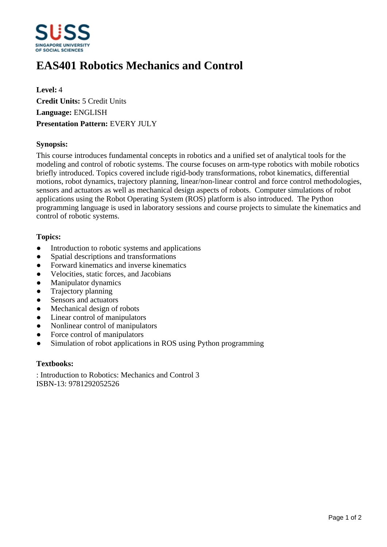

# **EAS401 Robotics Mechanics and Control**

**Level:** 4 **Credit Units:** 5 Credit Units **Language:** ENGLISH **Presentation Pattern:** EVERY JULY

# **Synopsis:**

This course introduces fundamental concepts in robotics and a unified set of analytical tools for the modeling and control of robotic systems. The course focuses on arm-type robotics with mobile robotics briefly introduced. Topics covered include rigid-body transformations, robot kinematics, differential motions, robot dynamics, trajectory planning, linear/non-linear control and force control methodologies, sensors and actuators as well as mechanical design aspects of robots. Computer simulations of robot applications using the Robot Operating System (ROS) platform is also introduced. The Python programming language is used in laboratory sessions and course projects to simulate the kinematics and control of robotic systems.

# **Topics:**

- Introduction to robotic systems and applications
- Spatial descriptions and transformations
- Forward kinematics and inverse kinematics
- ƔVelocities, static forces, and Jacobians
- Manipulator dynamics
- Trajectory planning
- Sensors and actuators
- Mechanical design of robots
- Linear control of manipulators
- Nonlinear control of manipulators
- Force control of manipulators
- Simulation of robot applications in ROS using Python programming

#### **Textbooks:**

: Introduction to Robotics: Mechanics and Control 3 ISBN-13: 9781292052526